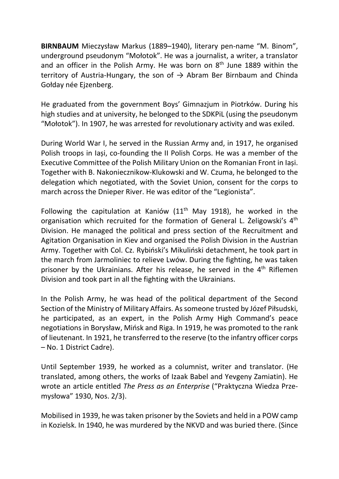BIRNBAUM Mieczysław Markus (1889–1940), literary pen-name "M. Binom", underground pseudonym "Mołotok". He was a journalist, a writer, a translator and an officer in the Polish Army. He was born on  $8<sup>th</sup>$  June 1889 within the territory of Austria-Hungary, the son of  $\rightarrow$  Abram Ber Birnbaum and Chinda Gołday née Ejzenberg.

He graduated from the government Boys' Gimnazjum in Piotrków. During his high studies and at university, he belonged to the SDKPiL (using the pseudonym "Mołotok"). In 1907, he was arrested for revolutionary activity and was exiled.

During World War I, he served in the Russian Army and, in 1917, he organised Polish troops in Iași, co-founding the II Polish Corps. He was a member of the Executive Committee of the Polish Military Union on the Romanian Front in Iași. Together with B. Nakoniecznikow-Klukowski and W. Czuma, he belonged to the delegation which negotiated, with the Soviet Union, consent for the corps to march across the Dnieper River. He was editor of the "Legionista".

Following the capitulation at Kaniów  $(11<sup>th</sup>$  May 1918), he worked in the organisation which recruited for the formation of General L. Żeligowski's 4th Division. He managed the political and press section of the Recruitment and Agitation Organisation in Kiev and organised the Polish Division in the Austrian Army. Together with Col. Cz. Rybiński's Mikuliński detachment, he took part in the march from Jarmoliniec to relieve Lwów. During the fighting, he was taken prisoner by the Ukrainians. After his release, he served in the 4<sup>th</sup> Riflemen Division and took part in all the fighting with the Ukrainians.

In the Polish Army, he was head of the political department of the Second Section of the Ministry of Military Affairs. As someone trusted by Józef Piłsudski, he participated, as an expert, in the Polish Army High Command's peace negotiations in Borysław, Mińsk and Riga. In 1919, he was promoted to the rank of lieutenant. In 1921, he transferred to the reserve (to the infantry officer corps – No. 1 District Cadre).

Until September 1939, he worked as a columnist, writer and translator. (He translated, among others, the works of Izaak Babel and Yevgeny Zamiatin). He wrote an article entitled The Press as an Enterprise ("Praktyczna Wiedza Przemysłowa" 1930, Nos. 2/3).

Mobilised in 1939, he was taken prisoner by the Soviets and held in a POW camp in Kozielsk. In 1940, he was murdered by the NKVD and was buried there. (Since